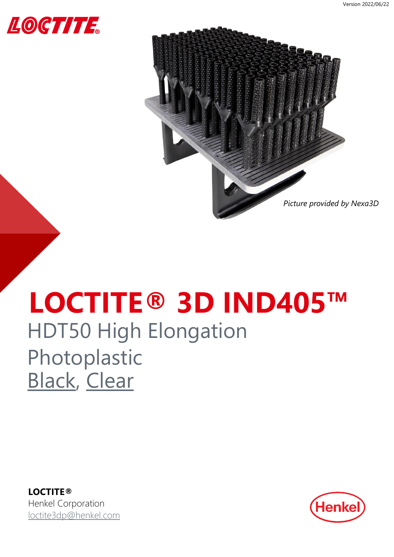<span id="page-0-0"></span>



## **LOCTITE® 3D IND405™** HDT50 High Elongation Photoplastic [Black,](#page-1-0) [Clear](#page-5-0)

**LOCTITE®** Henkel Corporation [loctite3dp@henkel.com](mailto:loctite3dp@henkel.com)

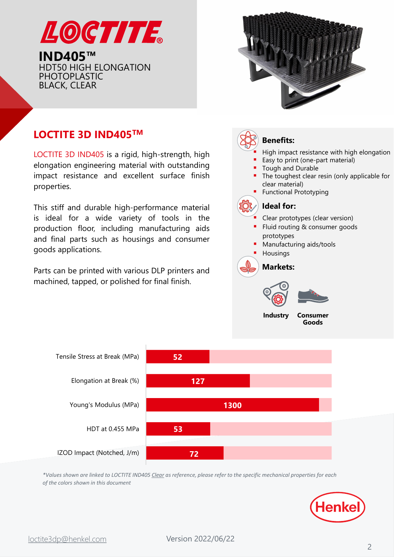<span id="page-1-0"></span>



### **LOCTITE 3D IND405TM**

LOCTITE 3D IND405 is a rigid, high-strength, high elongation engineering material with outstanding impact resistance and excellent surface finish properties.

This stiff and durable high-performance material is ideal for a wide variety of tools in the production floor, including manufacturing aids and final parts such as housings and consumer goods applications.

Parts can be printed with various DLP printers and machined, tapped, or polished for final finish.

### **Benefits:**

- High impact resistance with high elongation
- Easy to print (one-part material)
- Tough and Durable
- The toughest clear resin (only applicable for clear material)
- **Functional Prototyping**

### **Ideal for:**

- Clear prototypes (clear version)
- Fluid routing & consumer goods prototypes
- Manufacturing aids/tools
- **Housings**

**Markets:**





**Industry Consumer Goods**



*\*Values shown are linked to LOCTITE IND405 Clear as reference, please refer to the specific mechanical properties for each of the colors shown in this document*

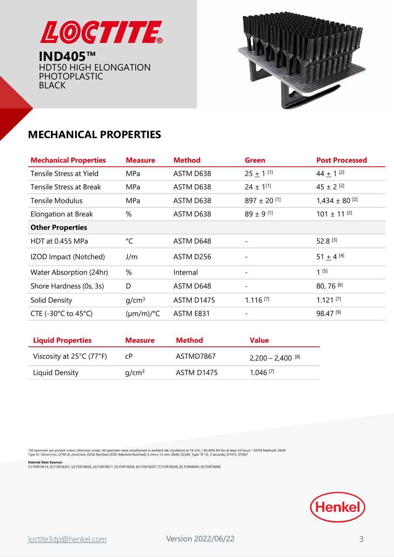



### **MECHANICAL PROPERTIES**

| <b>Mechanical Properties</b>              | <b>Measure</b>        | <b>Method</b> | <b>Green</b>             | <b>Post Processed</b>         |
|-------------------------------------------|-----------------------|---------------|--------------------------|-------------------------------|
| Tensile Stress at Yield                   | MPa                   | ASTM D638     | $25 + 1$ <sup>[1]</sup>  | 44 $\pm$ 1 <sup>[2]</sup>     |
| <b>Tensile Stress at Break</b>            | <b>MPa</b>            | ASTM D638     | $24 \pm 1^{[1]}$         | $45 \pm 2$ [2]                |
| <b>Tensile Modulus</b>                    | <b>MPa</b>            | ASTM D638     | $897 \pm 20$ [1]         | $1,434 \pm 80$ <sup>[2]</sup> |
| <b>Elongation at Break</b>                | %                     | ASTM D638     | $89 \pm 9$ [1]           | $101 \pm 11$ <sup>[2]</sup>   |
| <b>Other Properties</b>                   |                       |               |                          |                               |
| HDT at 0.455 MPa                          | °C                    | ASTM D648     |                          | 52.8 [3]                      |
| IZOD Impact (Notched)                     | J/m                   | ASTM D256     | $\overline{\phantom{a}}$ | $51 + 4^{[4]}$                |
| Water Absorption (24hr)                   | %                     | Internal      |                          | $1^{[5]}$                     |
| Shore Hardness (0s, 3s)                   | D                     | ASTM D648     | $\overline{\phantom{a}}$ | 80, 76 [6]                    |
| Solid Density                             | q/cm <sup>3</sup>     | ASTM D1475    | $1.116$ <sup>[7]</sup>   | $1.121$ [7]                   |
| CTE (-30 $^{\circ}$ C to 45 $^{\circ}$ C) | $(\mu m/m)/^{\circ}C$ | ASTM E831     | $\overline{\phantom{a}}$ | 98.47[9]                      |

| <b>Liquid Properties</b>                      | <b>Measure</b>    | Method     | <b>Value</b>                   |
|-----------------------------------------------|-------------------|------------|--------------------------------|
| Viscosity at $25^{\circ}$ C (77 $^{\circ}$ F) | CP.               | ASTMD7867  | $2,200 - 2,400$ <sup>[8]</sup> |
| Liquid Density                                | q/cm <sup>3</sup> | ASTM D1475 | $1.046$ <sup>[7]</sup>         |

"All specimen are printed unless otherwise noted. All specimen were conditioned in ambient lab conditions at 19-23C / 40-60% RH for at least 24 hours." ASTM Methods: D638<br>Type IV, 50mm/min, D790-B, 2mm/min, D256 Notched IZ

**Internal Data Sources:**<br>[1] FOR19614, [2] FOR18201, [3] FOR18828, [4] FOR18611, [5] FOR18206, [6] FOR18207, [7] FOR18208, [8] FOR48490, [9] FOR76890

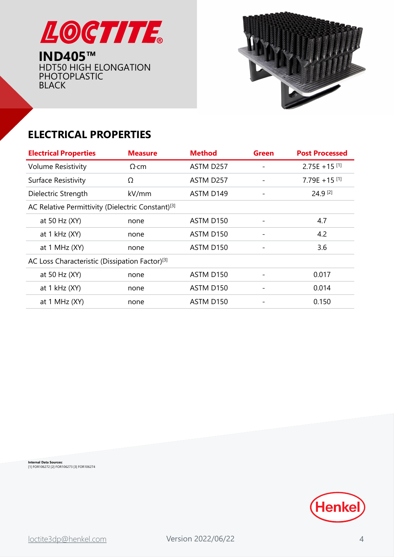



### **ELECTRICAL PROPERTIES**

| <b>Electrical Properties</b>                                  | <b>Measure</b> | <b>Method</b>         | Green                    | <b>Post Processed</b>       |
|---------------------------------------------------------------|----------------|-----------------------|--------------------------|-----------------------------|
| <b>Volume Resistivity</b>                                     | $\Omega$ ·cm   | ASTM D257             | $\overline{\phantom{0}}$ | $2.75E + 15$ <sup>[1]</sup> |
| Surface Resistivity                                           | Ω              | ASTM D257             |                          | $7.79E + 15$ <sup>[1]</sup> |
| Dielectric Strength                                           | kV/mm          | ASTM D149             |                          | 24.9 [2]                    |
| AC Relative Permittivity (Dielectric Constant) <sup>[3]</sup> |                |                       |                          |                             |
| at 50 Hz (XY)                                                 | none           | ASTM D <sub>150</sub> |                          | 4.7                         |
| at $1$ kHz $(XY)$                                             | none           | ASTM D150             |                          | 4.2                         |
| at $1$ MHz $(XY)$                                             | none           | ASTM D150             |                          | 3.6                         |
| AC Loss Characteristic (Dissipation Factor) <sup>[3]</sup>    |                |                       |                          |                             |
| at 50 Hz (XY)                                                 | none           | ASTM D150             |                          | 0.017                       |
| at $1$ kHz $(XY)$                                             | none           | ASTM D150             |                          | 0.014                       |
| at $1$ MHz $(XY)$                                             | none           | ASTM D150             |                          | 0.150                       |
|                                                               |                |                       |                          |                             |

**Internal Data Sources:** [1] FOR106272 [2] FOR106273 [3] FOR106274

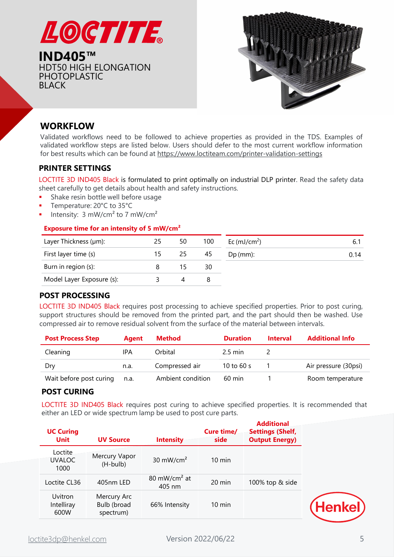



### **WORKFLOW**

Validated workflows need to be followed to achieve properties as provided in the TDS. Examples of validated workflow steps are listed below. Users should defer to the most current workflow information for best results which can be found at <https://www.loctiteam.com/printer-validation-settings>

### **PRINTER SETTINGS**

LOCTITE 3D IND405 Black is formulated to print optimally on industrial DLP printer. Read the safety data sheet carefully to get details about health and safety instructions.

- **•** Shake resin bottle well before usage
- Temperature: 20°C to 35°C
- **·** Intensity:  $3 \text{ mW/cm}^2$  to  $7 \text{ mW/cm}^2$

#### **Exposure time for an intensity of 5 mW/cm²**

| Layer Thickness (µm):     | 25 | 50  | 100 | Ec $(mJ/cm2)$ |      |
|---------------------------|----|-----|-----|---------------|------|
| First layer time (s)      |    | 25. | 45  | $Dp$ (mm):    | 0.14 |
| Burn in region (s):       |    |     | 30  |               |      |
| Model Layer Exposure (s): |    |     |     |               |      |

### **POST PROCESSING**

LOCTITE 3D IND405 Black requires post processing to achieve specified properties. Prior to post curing, support structures should be removed from the printed part, and the part should then be washed. Use compressed air to remove residual solvent from the surface of the material between intervals.

| <b>Post Process Step</b> | Aaent | Method            | <b>Duration</b>   | <b>Interval</b> | <b>Additional Info</b> |
|--------------------------|-------|-------------------|-------------------|-----------------|------------------------|
| Cleaning                 | IPA   | Orbital           | $2.5 \text{ min}$ |                 |                        |
| Drv                      | n.a.  | Compressed air    | 10 to 60 s        |                 | Air pressure (30psi)   |
| Wait before post curing  | n.a.  | Ambient condition | $60 \text{ min}$  |                 | Room temperature       |

#### **POST CURING**

LOCTITE 3D IND405 Black requires post curing to achieve specified properties. It is recommended that either an LED or wide spectrum lamp be used to post cure parts.

| <b>UC Curing</b><br><b>Unit</b>  | <b>UV Source</b>                        | <b>Intensity</b>                   | Cure time/<br>side | <b>Additional</b><br><b>Settings (Shelf,</b><br><b>Output Energy)</b> |
|----------------------------------|-----------------------------------------|------------------------------------|--------------------|-----------------------------------------------------------------------|
| Loctite<br><b>UVALOC</b><br>1000 | Mercury Vapor<br>(H-bulb)               | 30 mW/cm <sup>2</sup>              | $10 \text{ min}$   |                                                                       |
| Loctite CL36                     | 405nm LED                               | 80 mW/cm <sup>2</sup> at<br>405 nm | 20 min             | 100% top & side                                                       |
| Uvitron<br>Intelliray<br>600W    | Mercury Arc<br>Bulb (broad<br>spectrum) | 66% Intensity                      | $10 \text{ min}$   |                                                                       |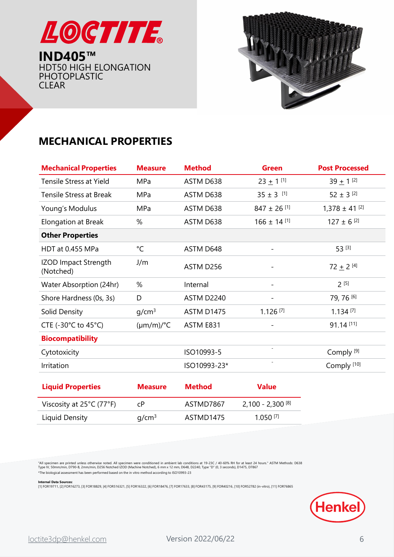<span id="page-5-0"></span>



### **MECHANICAL PROPERTIES**

| <b>Mechanical Properties</b>              | <b>Measure</b>        | <b>Method</b>     | <b>Green</b>                | <b>Post Processed</b>         |
|-------------------------------------------|-----------------------|-------------------|-----------------------------|-------------------------------|
| Tensile Stress at Yield                   | <b>MPa</b>            | ASTM D638         | $23 + 1$ <sup>[1]</sup>     | $39 + 1^{21}$                 |
| <b>Tensile Stress at Break</b>            | MPa                   | ASTM D638         | $35 \pm 3$ [1]              | $52 \pm 3$ [2]                |
| Young's Modulus                           | MPa                   | ASTM D638         | $847 \pm 26$ <sup>[1]</sup> | $1,378 \pm 41$ <sup>[2]</sup> |
| Elongation at Break                       | %                     | ASTM D638         | $166 \pm 14$ [1]            | $127 \pm 6$ <sup>[2]</sup>    |
| <b>Other Properties</b>                   |                       |                   |                             |                               |
| HDT at 0.455 MPa                          | $^{\circ}$ C          | ASTM D648         | $\overline{\phantom{a}}$    | 53 [3]                        |
| <b>IZOD Impact Strength</b><br>(Notched)  | J/m                   | ASTM D256         |                             | 72 $\pm$ 2 <sup>[4]</sup>     |
| Water Absorption (24hr)                   | %                     | Internal          |                             | $2^{[5]}$                     |
| Shore Hardness (0s, 3s)                   | D                     | ASTM D2240        | $\overline{\phantom{a}}$    | 79, 76 [6]                    |
| Solid Density                             | q/cm <sup>3</sup>     | <b>ASTM D1475</b> | $1.126$ <sup>[7]</sup>      | $1.134$ <sup>[7]</sup>        |
| CTE (-30 $^{\circ}$ C to 45 $^{\circ}$ C) | $(\mu m/m)/^{\circ}C$ | ASTM E831         | $\overline{\phantom{a}}$    | 91.14 [11]                    |
| <b>Biocompatibility</b>                   |                       |                   |                             |                               |
| Cytotoxicity                              |                       | ISO10993-5        | $\blacksquare$              | Comply <sup>[9]</sup>         |
| Irritation                                |                       | ISO10993-23*      | $\overline{\phantom{a}}$    | Comply <sup>[10]</sup>        |
|                                           |                       |                   |                             |                               |

| <b>Liquid Properties</b>                      | <b>Measure</b>    | <b>Method</b> | <b>Value</b>                   |
|-----------------------------------------------|-------------------|---------------|--------------------------------|
| Viscosity at $25^{\circ}$ C (77 $^{\circ}$ F) | C <sub>P</sub>    | ASTMD7867     | $2,100 - 2,300$ <sup>[8]</sup> |
| Liquid Density                                | q/cm <sup>3</sup> | ASTMD1475     | $1.050$ <sup>[7]</sup>         |

"All specimen are printed unless otherwise noted. All specimen were conditioned in ambient lab conditions at 19-23C / 40-60% RH for at least 24 hours." ASTM Methods: D638<br>Type IV, 50mm/min, D790-B, 2mm/min, D256 Notched IZ \*The biological assessment has been performed based on the in vitro method according to ISO10993-23

**Internal Data Sources:**<br>[1] FOR19711, [2] FOR16273, [3] FOR18829, [4] FOR516321, [5] FOR16322, [6] FOR18476, [7] FOR17633, [8] FOR43175, [9] FOR40216, [10] FOR52782 (in-vitro), [11] FOR76865

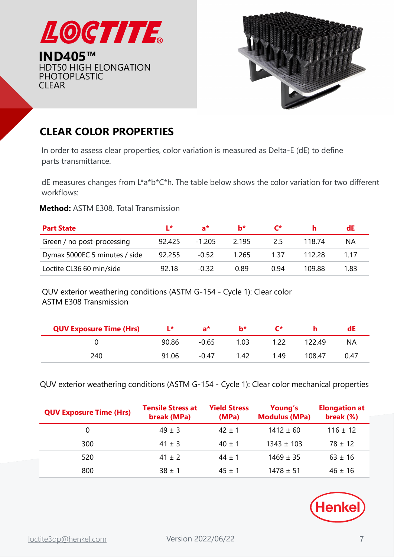



### **CLEAR COLOR PROPERTIES**

In order to assess clear properties, color variation is measured as Delta-E (dE) to define parts transmittance.

dE measures changes from L\*a\*b\*C\*h. The table below shows the color variation for two different workflows:

### **Method:** ASTM E308, Total Transmission

| <b>Part State</b>             | $\mathbf{r}$ | $a^*$    | $h^*$       | $\mathsf{r}^*$ |        | dE    |
|-------------------------------|--------------|----------|-------------|----------------|--------|-------|
| Green / no post-processing    | 92.425       | $-1.205$ | 2 1 9 5     | 25             | 118 74 | ΝA    |
| Dymax 5000EC 5 minutes / side | 92.255       | $-0.52$  | 1.265       | 1 37           | 112.28 | 1 1 7 |
| Loctite CL36 60 min/side      | 92 18        | -0.32    | <u>በ ጸዓ</u> | በ 94           | 109.88 | 1.83  |

QUV exterior weathering conditions (ASTM G-154 - Cycle 1): Clear color ASTM E308 Transmission

| <b>QUV Exposure Time (Hrs)</b> | l*    | a*      | h*   | r*   |        | aE   |
|--------------------------------|-------|---------|------|------|--------|------|
|                                | 90.86 | $-0.65$ | 1.03 |      | 122 49 | ΝA   |
| 240                            | 91.06 | $-0.47$ | 1.42 | 1 49 | 108.47 | 0.47 |

QUV exterior weathering conditions (ASTM G-154 - Cycle 1): Clear color mechanical properties

| <b>QUV Exposure Time (Hrs)</b> | <b>Tensile Stress at</b><br>break (MPa) | <b>Yield Stress</b><br>(MPa) | Young's<br><b>Modulus (MPa)</b> | <b>Elongation at</b><br>break (%) |
|--------------------------------|-----------------------------------------|------------------------------|---------------------------------|-----------------------------------|
| 0                              | $49 \pm 3$                              | $42 + 1$                     | $1412 \pm 60$                   | $116 \pm 12$                      |
| 300                            | $41 \pm 3$                              | $40 + 1$                     | $1343 \pm 103$                  | $78 + 12$                         |
| 520                            | $41 \pm 2$                              | $44 + 1$                     | $1469 \pm 35$                   | $63 \pm 16$                       |
| 800                            | $38 + 1$                                | $45 + 1$                     | $1478 \pm 51$                   | $46 + 16$                         |

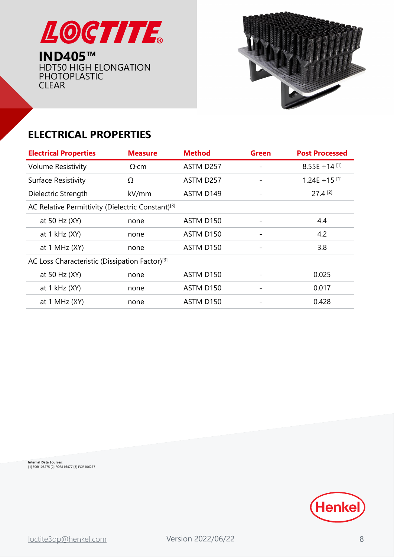



## **ELECTRICAL PROPERTIES**

| <b>Electrical Properties</b>                                  | <b>Measure</b> | <b>Method</b>         | <b>Green</b> | <b>Post Processed</b>       |
|---------------------------------------------------------------|----------------|-----------------------|--------------|-----------------------------|
| <b>Volume Resistivity</b>                                     | $\Omega$ ·cm   | ASTM D257             |              | $8.55E + 14$ [1]            |
| Surface Resistivity                                           | Ω              | ASTM D <sub>257</sub> |              | $1.24E + 15$ <sup>[1]</sup> |
| Dielectric Strength                                           | kV/mm          | ASTM D149             |              | $27.4$ <sup>[2]</sup>       |
| AC Relative Permittivity (Dielectric Constant) <sup>[3]</sup> |                |                       |              |                             |
| at 50 Hz (XY)                                                 | none           | ASTM D <sub>150</sub> |              | 4.4                         |
| at $1$ kHz $(XY)$                                             | none           | ASTM D <sub>150</sub> |              | 4.2                         |
| at $1$ MHz $(XY)$                                             | none           | ASTM D150             |              | 3.8                         |
| AC Loss Characteristic (Dissipation Factor) <sup>[3]</sup>    |                |                       |              |                             |
| at 50 Hz (XY)                                                 | none           | ASTM D150             |              | 0.025                       |
| at $1$ kHz $(XY)$                                             | none           | ASTM D150             |              | 0.017                       |
| at $1$ MHz $(XY)$                                             | none           | ASTM D <sub>150</sub> | -            | 0.428                       |
|                                                               |                |                       |              |                             |

**Internal Data Sources:** [1] FOR106275 [2] FOR116477 [3] FOR106277

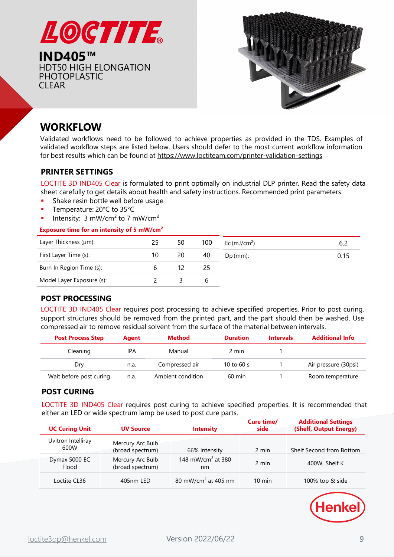



### **WORKFLOW**

Validated workflows need to be followed to achieve properties as provided in the TDS. Examples of validated workflow steps are listed below. Users should defer to the most current workflow information for best results which can be found at <https://www.loctiteam.com/printer-validation-settings>

#### **PRINTER SETTINGS**

LOCTITE 3D IND405 Clear is formulated to print optimally on industrial DLP printer. Read the safety data sheet carefully to get details about health and safety instructions. Recommended print parameters:

- Shake resin bottle well before usage
- Temperature: 20°C to 35°C
- Intensity:  $3 \text{ mW/cm}^2$  to 7 mW/cm<sup>2</sup>

#### **Exposure time for an intensity of 5 mW/cm²**

| Layer Thickness (µm):     | 25 | 50 | 100 | Ec (mJ/cm <sup>2</sup> ) | 6.4  |
|---------------------------|----|----|-----|--------------------------|------|
| First Layer Time (s):     | 10 | 20 | 40  | $Dp$ (mm):               | 0.15 |
| Burn In Region Time (s):  |    |    | 25  |                          |      |
| Model Layer Exposure (s): |    |    | b   |                          |      |

### **POST PROCESSING**

LOCTITE 3D IND405 Clear requires post processing to achieve specified properties. Prior to post curing, support structures should be removed from the printed part, and the part should then be washed. Use compressed air to remove residual solvent from the surface of the material between intervals.

| <b>Post Process Step</b> | Agent | <b>Method</b>     | <b>Duration</b>  | <b>Intervals</b> | <b>Additional Info</b> |
|--------------------------|-------|-------------------|------------------|------------------|------------------------|
| Cleaning                 | IPA   | Manual            | 2 min            |                  |                        |
| Dry                      | n.a.  | Compressed air    | 10 to 60 s       |                  | Air pressure (30psi)   |
| Wait before post curing  | n.a.  | Ambient condition | $60 \text{ min}$ |                  | Room temperature       |

### **POST CURING**

LOCTITE 3D IND405 Clear requires post curing to achieve specified properties. It is recommended that either an LED or wide spectrum lamp be used to post cure parts.

| <b>UC Curing Unit</b>      | <b>UV Source</b>                     | <b>Intensity</b>                     | Cure time/<br>side | <b>Additional Settings</b><br>(Shelf, Output Energy) |
|----------------------------|--------------------------------------|--------------------------------------|--------------------|------------------------------------------------------|
| Uvitron Intelliray<br>600W | Mercury Arc Bulb<br>(broad spectrum) | 66% Intensity                        | 2 min              | Shelf Second from Bottom                             |
| Dymax 5000 EC<br>Flood     | Mercury Arc Bulb<br>(broad spectrum) | 148 mW/cm <sup>2</sup> at 380<br>nm. | 2 min              | 400W, Shelf K                                        |
| Loctite CL36               | 405nm LED                            | 80 mW/cm <sup>2</sup> at 405 nm      | $10 \text{ min}$   | 100% top & side                                      |

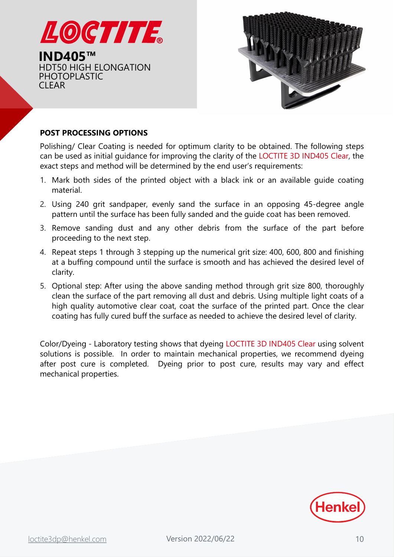



### **POST PROCESSING OPTIONS**

Polishing/ Clear Coating is needed for optimum clarity to be obtained. The following steps can be used as initial guidance for improving the clarity of the LOCTITE 3D IND405 Clear, the exact steps and method will be determined by the end user's requirements:

- 1. Mark both sides of the printed object with a black ink or an available guide coating material.
- 2. Using 240 grit sandpaper, evenly sand the surface in an opposing 45-degree angle pattern until the surface has been fully sanded and the guide coat has been removed.
- 3. Remove sanding dust and any other debris from the surface of the part before proceeding to the next step.
- 4. Repeat steps 1 through 3 stepping up the numerical grit size: 400, 600, 800 and finishing at a buffing compound until the surface is smooth and has achieved the desired level of clarity.
- 5. Optional step: After using the above sanding method through grit size 800, thoroughly clean the surface of the part removing all dust and debris. Using multiple light coats of a high quality automotive clear coat, coat the surface of the printed part. Once the clear coating has fully cured buff the surface as needed to achieve the desired level of clarity.

Color/Dyeing - Laboratory testing shows that dyeing LOCTITE 3D IND405 Clear using solvent solutions is possible. In order to maintain mechanical properties, we recommend dyeing after post cure is completed. Dyeing prior to post cure, results may vary and effect mechanical properties.

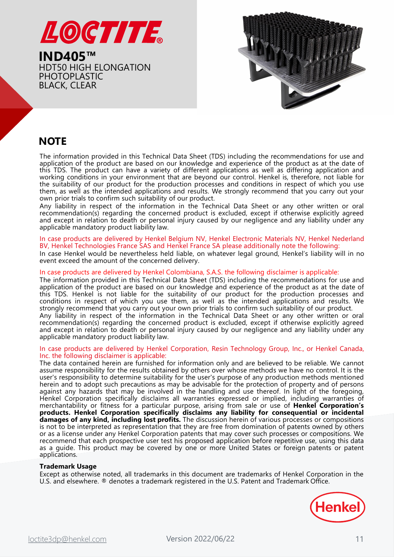



### **NOTE**

The information provided in this Technical Data Sheet (TDS) including the recommendations for use and application of the product are based on our knowledge and experience of the product as at the date of this TDS. The product can have a variety of different applications as well as differing application and working conditions in your environment that are beyond our control. Henkel is, therefore, not liable for the suitability of our product for the production processes and conditions in respect of which you use them, as well as the intended applications and results. We strongly recommend that you carry out your own prior trials to confirm such suitability of our product.

Any liability in respect of the information in the Technical Data Sheet or any other written or oral recommendation(s) regarding the concerned product is excluded, except if otherwise explicitly agreed and except in relation to death or personal injury caused by our negligence and any liability under any applicable mandatory product liability law.

#### In case products are delivered by Henkel Belgium NV, Henkel Electronic Materials NV, Henkel Nederland BV, Henkel Technologies France SAS and Henkel France SA please additionally note the following:

In case Henkel would be nevertheless held liable, on whatever legal ground, Henkel's liability will in no event exceed the amount of the concerned delivery.

#### In case products are delivered by Henkel Colombiana, S.A.S. the following disclaimer is applicable:

The information provided in this Technical Data Sheet (TDS) including the recommendations for use and application of the product are based on our knowledge and experience of the product as at the date of this TDS. Henkel is not liable for the suitability of our product for the production processes and conditions in respect of which you use them, as well as the intended applications and results. We strongly recommend that you carry out your own prior trials to confirm such suitability of our product.

Any liability in respect of the information in the Technical Data Sheet or any other written or oral recommendation(s) regarding the concerned product is excluded, except if otherwise explicitly agreed and except in relation to death or personal injury caused by our negligence and any liability under any applicable mandatory product liability law.

#### In case products are delivered by Henkel Corporation, Resin Technology Group, Inc., or Henkel Canada, Inc. the following disclaimer is applicable:

The data contained herein are furnished for information only and are believed to be reliable. We cannot assume responsibility for the results obtained by others over whose methods we have no control. It is the user's responsibility to determine suitability for the user's purpose of any production methods mentioned herein and to adopt such precautions as may be advisable for the protection of property and of persons against any hazards that may be involved in the handling and use thereof. In light of the foregoing, Henkel Corporation specifically disclaims all warranties expressed or implied, including warranties of merchantability or fitness for a particular purpose, arising from sale or use of **Henkel Corporation's products. Henkel Corporation specifically disclaims any liability for consequential or incidental damages of any kind, including lost profits.** The discussion herein of various processes or compositions is not to be interpreted as representation that they are free from domination of patents owned by others or as a license under any Henkel Corporation patents that may cover such processes or compositions. We recommend that each prospective user test his proposed application before repetitive use, using this data as a guide. This product may be covered by one or more United States or foreign patents or patent applications.

#### **Trademark Usage**

Except as otherwise noted, all trademarks in this document are trademarks of Henkel Corporation in the U.S. and elsewhere. ® denotes a trademark registered in the U.S. Patent and Trademark Office.